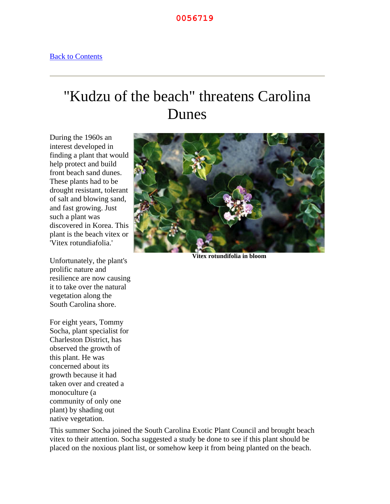## "Kudzu of the beach" threatens Carolina Dunes

During the 1960s an interest developed in finding a plant that would help protect and build front beach sand dunes. These plants had to be drought resistant, tolerant of salt and blowing sand, and fast growing. Just such a plant was discovered in Korea. This plant is the beach vitex or 'Vitex rotundiafolia.'

Unfortunately, the plant's prolific nature and resilience are now causing it to take over the natural vegetation along the South Carolina shore.

For eight years, Tommy Socha, plant specialist for Charleston District, has observed the growth of this plant. He was concerned about its growth because it had taken over and created a monoculture (a community of only one plant) by shading out native vegetation.



**Vitex rotundifolia in bloom**

This summer Socha joined the South Carolina Exotic Plant Council and brought beach vitex to their attention. Socha suggested a study be done to see if this plant should be placed on the noxious plant list, or somehow keep it from being planted on the beach.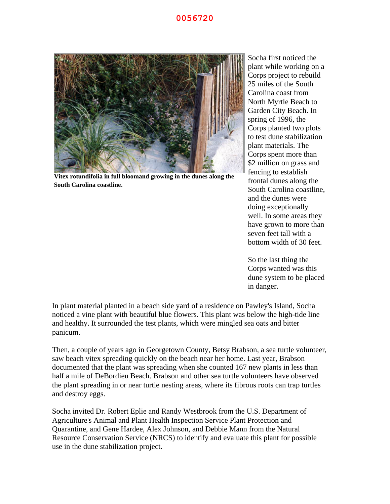

**Vitex rotundifolia in full bloomand growing in the dunes along the South Carolina coastline**.

Socha first noticed the plant while working on a Corps project to rebuild 25 miles of the South Carolina coast from North Myrtle Beach to Garden City Beach. In spring of 1996, the Corps planted two plots to test dune stabilization plant materials. The Corps spent more than \$2 million on grass and fencing to establish frontal dunes along the South Carolina coastline, and the dunes were doing exceptionally well. In some areas they have grown to more than seven feet tall with a bottom width of 30 feet.

So the last thing the Corps wanted was this dune system to be placed in danger.

In plant material planted in a beach side yard of a residence on Pawley's Island, Socha noticed a vine plant with beautiful blue flowers. This plant was below the high-tide line and healthy. It surrounded the test plants, which were mingled sea oats and bitter panicum.

Then, a couple of years ago in Georgetown County, Betsy Brabson, a sea turtle volunteer, saw beach vitex spreading quickly on the beach near her home. Last year, Brabson documented that the plant was spreading when she counted 167 new plants in less than half a mile of DeBordieu Beach. Brabson and other sea turtle volunteers have observed the plant spreading in or near turtle nesting areas, where its fibrous roots can trap turtles and destroy eggs.

Socha invited Dr. Robert Eplie and Randy Westbrook from the U.S. Department of Agriculture's Animal and Plant Health Inspection Service Plant Protection and Quarantine, and Gene Hardee, Alex Johnson, and Debbie Mann from the Natural Resource Conservation Service (NRCS) to identify and evaluate this plant for possible use in the dune stabilization project.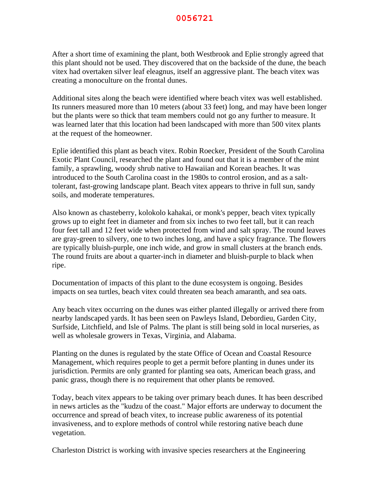## **0056721**

After a short time of examining the plant, both Westbrook and Eplie strongly agreed that this plant should not be used. They discovered that on the backside of the dune, the beach vitex had overtaken silver leaf eleagnus, itself an aggressive plant. The beach vitex was creating a monoculture on the frontal dunes.

Additional sites along the beach were identified where beach vitex was well established. Its runners measured more than 10 meters (about 33 feet) long, and may have been longer but the plants were so thick that team members could not go any further to measure. It was learned later that this location had been landscaped with more than 500 vitex plants at the request of the homeowner.

Eplie identified this plant as beach vitex. Robin Roecker, President of the South Carolina Exotic Plant Council, researched the plant and found out that it is a member of the mint family, a sprawling, woody shrub native to Hawaiian and Korean beaches. It was introduced to the South Carolina coast in the 1980s to control erosion, and as a salttolerant, fast-growing landscape plant. Beach vitex appears to thrive in full sun, sandy soils, and moderate temperatures.

Also known as chasteberry, kolokolo kahakai, or monk's pepper, beach vitex typically grows up to eight feet in diameter and from six inches to two feet tall, but it can reach four feet tall and 12 feet wide when protected from wind and salt spray. The round leaves are gray-green to silvery, one to two inches long, and have a spicy fragrance. The flowers are typically bluish-purple, one inch wide, and grow in small clusters at the branch ends. The round fruits are about a quarter-inch in diameter and bluish-purple to black when ripe.

Documentation of impacts of this plant to the dune ecosystem is ongoing. Besides impacts on sea turtles, beach vitex could threaten sea beach amaranth, and sea oats.

Any beach vitex occurring on the dunes was either planted illegally or arrived there from nearby landscaped yards. It has been seen on Pawleys Island, Debordieu, Garden City, Surfside, Litchfield, and Isle of Palms. The plant is still being sold in local nurseries, as well as wholesale growers in Texas, Virginia, and Alabama.

Planting on the dunes is regulated by the state Office of Ocean and Coastal Resource Management, which requires people to get a permit before planting in dunes under its jurisdiction. Permits are only granted for planting sea oats, American beach grass, and panic grass, though there is no requirement that other plants be removed.

Today, beach vitex appears to be taking over primary beach dunes. It has been described in news articles as the "kudzu of the coast." Major efforts are underway to document the occurrence and spread of beach vitex, to increase public awareness of its potential invasiveness, and to explore methods of control while restoring native beach dune vegetation.

Charleston District is working with invasive species researchers at the Engineering